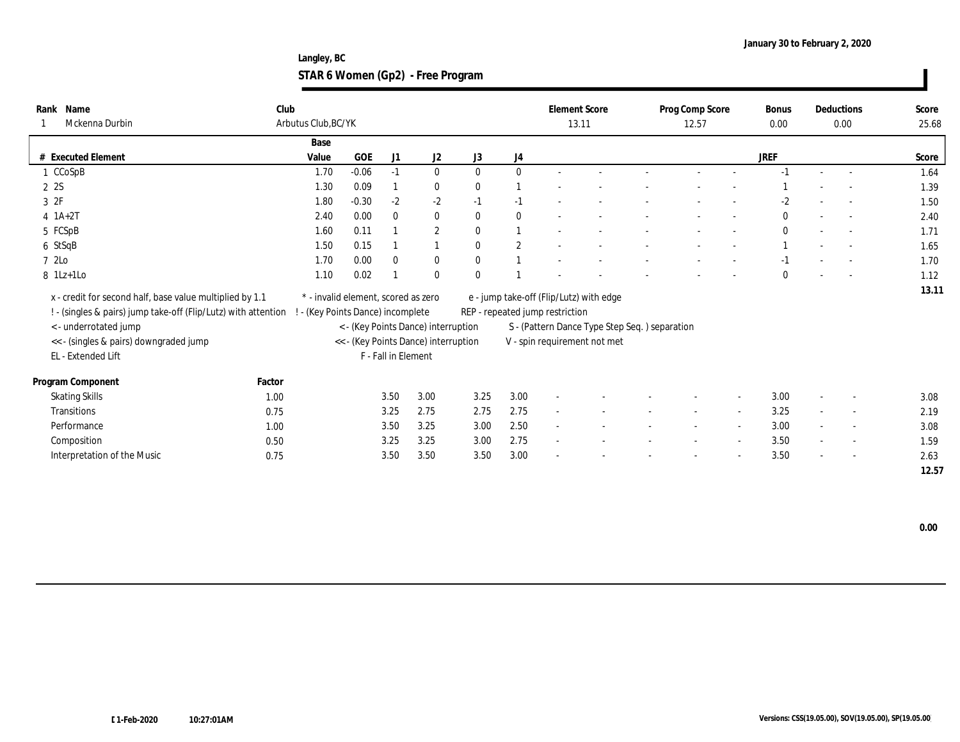**Langley, BC STAR 6 Women (Gp2) - Free Program**

| Name<br>Rank<br>Mckenna Durbin                                 | Club   | Arbutus Club, BC/YK                 |            |                     |                                      |              |              | <b>Element Score</b><br>13.11   |                                               | Prog Comp Score<br>12.57 | <b>Bonus</b><br>0.00 |        | Deductions<br>0.00       | Score<br>25.68 |
|----------------------------------------------------------------|--------|-------------------------------------|------------|---------------------|--------------------------------------|--------------|--------------|---------------------------------|-----------------------------------------------|--------------------------|----------------------|--------|--------------------------|----------------|
|                                                                |        | Base                                |            |                     |                                      |              |              |                                 |                                               |                          |                      |        |                          |                |
| <b>Executed Element</b><br>#                                   |        | Value                               | <b>GOE</b> | J1                  | J2                                   | J3           | J4           |                                 |                                               |                          | <b>JREF</b>          |        |                          | Score          |
| 1 CCoSpB                                                       |        | 1.70                                | $-0.06$    | $-1$                | $\bf{0}$                             | $\bf{0}$     | $\mathbf{0}$ |                                 |                                               |                          |                      |        |                          | 1.64           |
| 2 2S                                                           |        | 1.30                                | 0.09       |                     | $\bf{0}$                             | $\mathbf{0}$ |              |                                 |                                               |                          |                      |        |                          | 1.39           |
| 3 2F                                                           |        | 1.80                                | $-0.30$    | $-2$                | $-2$                                 | $-1$         | $-1$         |                                 |                                               |                          | $-2$                 |        |                          | 1.50           |
| $4$ 1A+2T                                                      |        | 2.40                                | 0.00       | $\theta$            | $\bf{0}$                             | $\bf{0}$     | $\bf{0}$     |                                 |                                               |                          | $\bf{0}$             |        |                          | 2.40           |
| 5 FCSpB                                                        |        | 1.60                                | 0.11       |                     | $\sqrt{2}$                           | $\mathbf{0}$ |              |                                 |                                               |                          |                      |        |                          | 1.71           |
| 6 StSqB                                                        |        | 1.50                                | 0.15       |                     |                                      | $\mathbf{0}$ | $\mathbf{2}$ |                                 |                                               |                          |                      |        |                          | 1.65           |
| 7 2Lo                                                          |        | 1.70                                | 0.00       | $\theta$            | $\bf{0}$                             | $\mathbf{0}$ |              |                                 |                                               |                          |                      |        |                          | 1.70           |
| 8 1Lz+1Lo                                                      |        | 1.10                                | 0.02       |                     | $\bf{0}$                             | $\Omega$     |              |                                 |                                               |                          | $\mathbf{0}$         |        |                          | 1.12           |
| x - credit for second half, base value multiplied by 1.1       |        | * - invalid element, scored as zero |            |                     |                                      |              |              |                                 | e - jump take-off (Flip/Lutz) with edge       |                          |                      |        |                          | 13.11          |
| ! - (singles & pairs) jump take-off (Flip/Lutz) with attention |        | ! - (Key Points Dance) incomplete   |            |                     |                                      |              |              | REP - repeated jump restriction |                                               |                          |                      |        |                          |                |
| <- underrotated jump                                           |        |                                     |            |                     | < - (Key Points Dance) interruption  |              |              |                                 | S - (Pattern Dance Type Step Seq.) separation |                          |                      |        |                          |                |
| << - (singles & pairs) downgraded jump                         |        |                                     |            |                     | << - (Key Points Dance) interruption |              |              |                                 | V - spin requirement not met                  |                          |                      |        |                          |                |
| EL - Extended Lift                                             |        |                                     |            | F - Fall in Element |                                      |              |              |                                 |                                               |                          |                      |        |                          |                |
| Program Component                                              | Factor |                                     |            |                     |                                      |              |              |                                 |                                               |                          |                      |        |                          |                |
| <b>Skating Skills</b>                                          | 1.00   |                                     |            | 3.50                | 3.00                                 | 3.25         | 3.00         | $\sim$                          |                                               |                          | 3.00                 | $\sim$ |                          | 3.08           |
| Transitions                                                    | 0.75   |                                     |            | 3.25                | 2.75                                 | 2.75         | 2.75         | $\overline{a}$                  |                                               |                          | 3.25                 |        | $\overline{\phantom{a}}$ | 2.19           |
| Performance                                                    | 1.00   |                                     |            | 3.50                | 3.25                                 | 3.00         | 2.50         | $\sim$                          |                                               |                          | 3.00                 | $\sim$ |                          | 3.08           |
| Composition                                                    | 0.50   |                                     |            | 3.25                | 3.25                                 | 3.00         | 2.75         | $\sim$                          |                                               |                          | 3.50                 | $\sim$ | $\overline{\phantom{a}}$ | 1.59           |
| Interpretation of the Music                                    | 0.75   |                                     |            | 3.50                | 3.50                                 | 3.50         | 3.00         |                                 |                                               |                          | 3.50                 | $\sim$ | $\overline{\phantom{a}}$ | 2.63           |
|                                                                |        |                                     |            |                     |                                      |              |              |                                 |                                               |                          |                      |        |                          | 12.57          |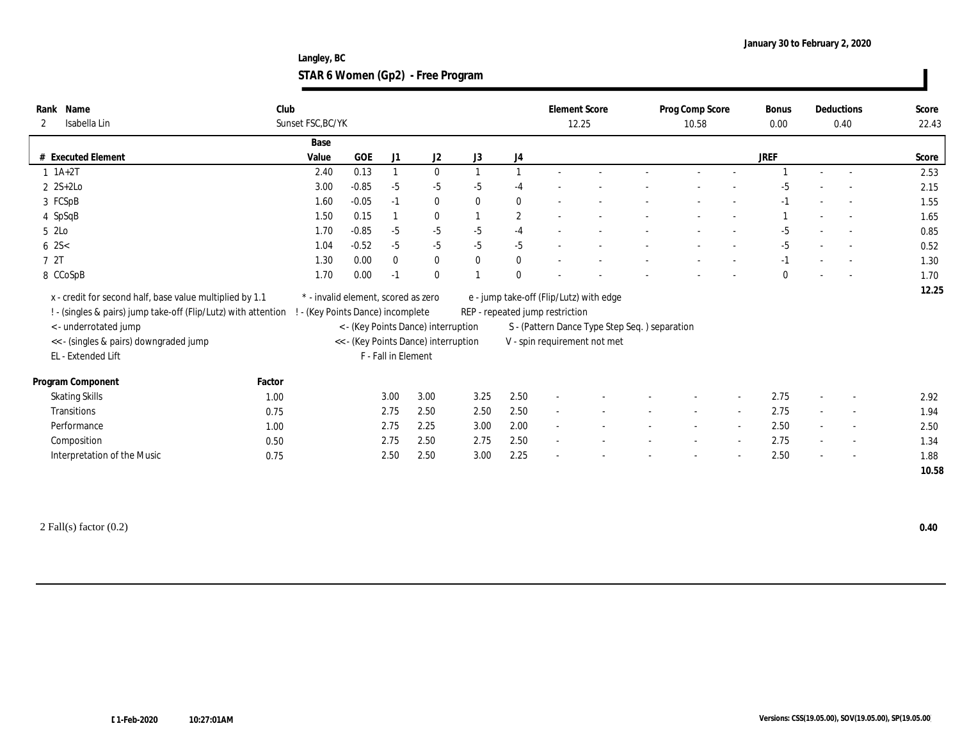**Langley, BC STAR 6 Women (Gp2) - Free Program**

| # Executed Element<br>$1 \ 1A+2T$ |                                                                                      | Base                                                                                                                                       |         |          |                                      |                                                                                                       |                                                                                     |                          | 12.25 |                                                                                                            | 10.58 |                                               | 0.00        |                          | 0.40 | 22.43 |
|-----------------------------------|--------------------------------------------------------------------------------------|--------------------------------------------------------------------------------------------------------------------------------------------|---------|----------|--------------------------------------|-------------------------------------------------------------------------------------------------------|-------------------------------------------------------------------------------------|--------------------------|-------|------------------------------------------------------------------------------------------------------------|-------|-----------------------------------------------|-------------|--------------------------|------|-------|
|                                   |                                                                                      |                                                                                                                                            |         |          |                                      |                                                                                                       |                                                                                     |                          |       |                                                                                                            |       |                                               |             |                          |      |       |
|                                   |                                                                                      | Value                                                                                                                                      | GOE     | J1       | J2                                   | J3                                                                                                    | J4                                                                                  |                          |       |                                                                                                            |       |                                               | <b>JREF</b> |                          |      | Score |
|                                   |                                                                                      | 2.40                                                                                                                                       | 0.13    |          | $\bf{0}$                             |                                                                                                       |                                                                                     |                          |       |                                                                                                            |       |                                               |             |                          |      | 2.53  |
| $2$ 2S+2Lo                        |                                                                                      | 3.00                                                                                                                                       | $-0.85$ | $-5$     | $-5$                                 | $-5$                                                                                                  | $-4$                                                                                |                          |       |                                                                                                            |       |                                               | -5          |                          |      | 2.15  |
| 3 FCSpB                           |                                                                                      | 1.60                                                                                                                                       | $-0.05$ | $-1$     | $\bf{0}$                             | $\mathbf{0}$                                                                                          | $\bf{0}$                                                                            | $\sim$                   |       |                                                                                                            |       |                                               | $-1$        |                          |      | 1.55  |
| 4 SpSqB                           |                                                                                      | 1.50                                                                                                                                       | 0.15    |          | $\bf{0}$                             |                                                                                                       | $\mathbf{2}$                                                                        | $\overline{\phantom{a}}$ |       |                                                                                                            |       |                                               |             |                          |      | 1.65  |
|                                   |                                                                                      | 1.70                                                                                                                                       | $-0.85$ | $-5$     | $-5$                                 | $-5$                                                                                                  | $-4$                                                                                |                          |       |                                                                                                            |       |                                               | $-5$        |                          |      | 0.85  |
|                                   |                                                                                      | 1.04                                                                                                                                       | $-0.52$ | $-5$     | $-5$                                 | $-5$                                                                                                  | $-5$                                                                                |                          |       |                                                                                                            |       |                                               | $-5$        |                          |      | 0.52  |
|                                   |                                                                                      | 1.30                                                                                                                                       | 0.00    | $\theta$ | $\mathbf{0}$                         | $\mathbf{0}$                                                                                          | $\bf{0}$                                                                            |                          |       |                                                                                                            |       |                                               | $-1$        |                          |      | 1.30  |
| 8 CCoSpB                          |                                                                                      | 1.70                                                                                                                                       | 0.00    | -1       | $\bf{0}$                             |                                                                                                       | $\mathbf{0}$                                                                        |                          |       |                                                                                                            |       |                                               | $\theta$    |                          |      | 1.70  |
|                                   |                                                                                      |                                                                                                                                            |         |          |                                      |                                                                                                       |                                                                                     |                          |       |                                                                                                            |       |                                               |             |                          |      | 12.25 |
| < - underrotated jump             |                                                                                      |                                                                                                                                            |         |          |                                      |                                                                                                       |                                                                                     |                          |       |                                                                                                            |       |                                               |             |                          |      |       |
|                                   |                                                                                      |                                                                                                                                            |         |          |                                      |                                                                                                       |                                                                                     |                          |       |                                                                                                            |       |                                               |             |                          |      |       |
| EL - Extended Lift                |                                                                                      |                                                                                                                                            |         |          |                                      |                                                                                                       |                                                                                     |                          |       |                                                                                                            |       |                                               |             |                          |      |       |
| Program Component                 | Factor                                                                               |                                                                                                                                            |         |          |                                      |                                                                                                       |                                                                                     |                          |       |                                                                                                            |       |                                               |             |                          |      |       |
| <b>Skating Skills</b>             | 1.00                                                                                 |                                                                                                                                            |         |          | 3.00                                 | 3.25                                                                                                  | 2.50                                                                                |                          |       |                                                                                                            |       |                                               | 2.75        | $\sim$                   |      | 2.92  |
| Transitions                       | 0.75                                                                                 |                                                                                                                                            |         |          | 2.50                                 | 2.50                                                                                                  | 2.50                                                                                | $\sim$                   |       |                                                                                                            |       |                                               | 2.75        |                          |      | 1.94  |
| Performance                       | 1.00                                                                                 |                                                                                                                                            |         |          | 2.25                                 | 3.00                                                                                                  | 2.00                                                                                | $\sim$                   |       |                                                                                                            |       |                                               | 2.50        | $\sim$                   |      | 2.50  |
|                                   |                                                                                      |                                                                                                                                            |         |          | 2.50                                 | 2.75                                                                                                  |                                                                                     | $\overline{\phantom{a}}$ |       |                                                                                                            |       |                                               |             | $\overline{\phantom{a}}$ |      | 1.34  |
|                                   |                                                                                      |                                                                                                                                            |         |          |                                      |                                                                                                       |                                                                                     |                          |       |                                                                                                            |       |                                               |             |                          |      | 1.88  |
|                                   |                                                                                      |                                                                                                                                            |         |          |                                      |                                                                                                       |                                                                                     |                          |       |                                                                                                            |       |                                               |             |                          |      | 10.58 |
|                                   | << - (singles & pairs) downgraded jump<br>Composition<br>Interpretation of the Music | x - credit for second half, base value multiplied by 1.1<br>! - (singles & pairs) jump take-off (Flip/Lutz) with attention<br>0.50<br>0.75 |         |          | 3.00<br>2.75<br>2.75<br>2.75<br>2.50 | * - invalid element, scored as zero<br>- (Key Points Dance) incomplete<br>F - Fall in Element<br>2.50 | < - (Key Points Dance) interruption<br><< - (Key Points Dance) interruption<br>3.00 | 2.50<br>2.25             |       | e - jump take-off (Flip/Lutz) with edge<br>REP - repeated jump restriction<br>V - spin requirement not met |       | S - (Pattern Dance Type Step Seq.) separation |             | 2.75<br>2.50             |      |       |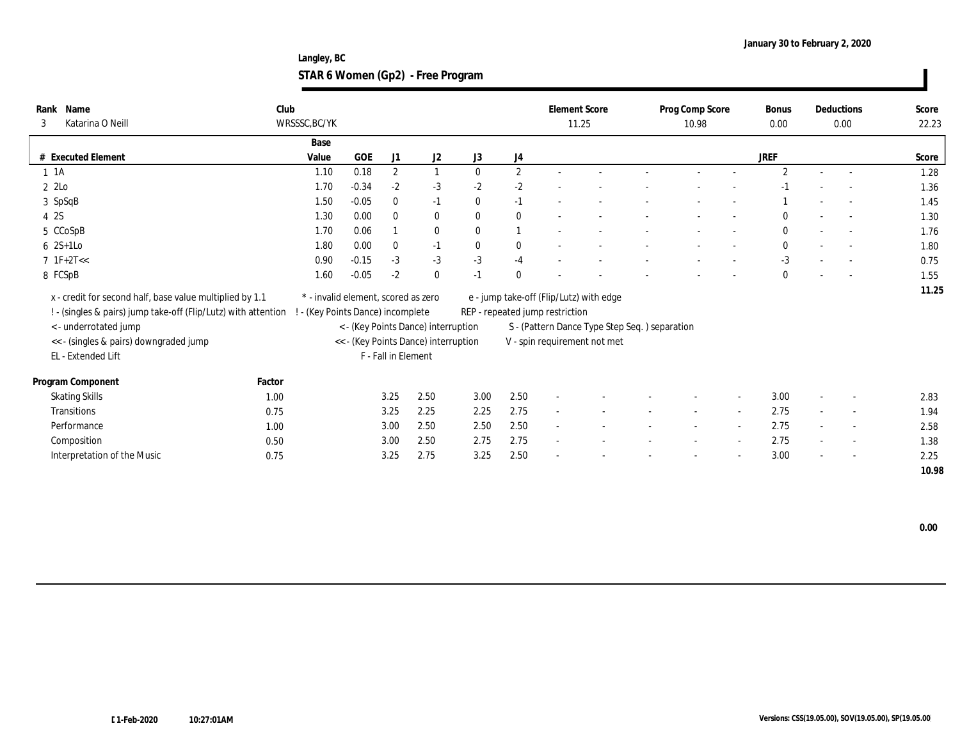**Langley, BC STAR 6 Women (Gp2) - Free Program**

| Rank Name<br>Katarina O Neill<br>3                                                                                         | Club   | WRSSSC, BC/YK                                                            |            |                     |                                      |              |              |                                 | <b>Element Score</b><br>11.25                 | Prog Comp Score<br>10.98 | <b>Bonus</b><br>0.00 |        | Deductions<br>0.00       | Score<br>22.23 |
|----------------------------------------------------------------------------------------------------------------------------|--------|--------------------------------------------------------------------------|------------|---------------------|--------------------------------------|--------------|--------------|---------------------------------|-----------------------------------------------|--------------------------|----------------------|--------|--------------------------|----------------|
|                                                                                                                            |        | Base                                                                     |            |                     |                                      |              |              |                                 |                                               |                          |                      |        |                          |                |
| # Executed Element                                                                                                         |        | Value                                                                    | <b>GOE</b> | J1                  | J2                                   | J3           | J4           |                                 |                                               |                          | JREF                 |        |                          | Score          |
| $1 \t1A$                                                                                                                   |        | 1.10                                                                     | 0.18       | $\boldsymbol{2}$    |                                      | $\mathbf{0}$ | $\mathbf{2}$ |                                 |                                               |                          | $\mathbf{2}$         |        |                          | 1.28           |
| 2 2Lo                                                                                                                      |        | 1.70                                                                     | $-0.34$    | $-2$                | $-3$                                 | $-2$         | $-2$         |                                 |                                               |                          |                      |        |                          | 1.36           |
| 3 SpSqB                                                                                                                    |        | 1.50                                                                     | $-0.05$    | $\mathbf{0}$        | $-1$                                 | $\bf{0}$     | $-1$         |                                 |                                               |                          |                      |        |                          | 1.45           |
| 4 2S                                                                                                                       |        | 1.30                                                                     | 0.00       | $\theta$            | $\bf{0}$                             | $\mathbf{0}$ | $\bf{0}$     |                                 |                                               |                          |                      |        |                          | 1.30           |
| 5 CCoSpB                                                                                                                   |        | 1.70                                                                     | 0.06       |                     | $\bf{0}$                             | $\mathbf{0}$ |              |                                 |                                               |                          | 0                    |        |                          | 1.76           |
| $6 \quad 2S+1LO$                                                                                                           |        | 1.80                                                                     | 0.00       | $\boldsymbol{0}$    | $-1$                                 | $\mathbf{0}$ | $\bf{0}$     |                                 |                                               |                          | $\mathbf{0}$         |        |                          | 1.80           |
| $7 \text{ IF}+2T<<$                                                                                                        |        | 0.90                                                                     | $-0.15$    | $-3$                | $-3$                                 | $-3$         | $-4$         |                                 |                                               |                          | $-3$                 |        |                          | 0.75           |
| 8 FCSpB                                                                                                                    |        | 1.60                                                                     | $-0.05$    | $-2$                | $\bf{0}$                             | $-1$         | $\theta$     |                                 |                                               |                          | $\mathbf{0}$         |        |                          | 1.55           |
| x - credit for second half, base value multiplied by 1.1<br>! - (singles & pairs) jump take-off (Flip/Lutz) with attention |        | * - invalid element, scored as zero<br>! - (Key Points Dance) incomplete |            |                     |                                      |              |              | REP - repeated jump restriction | e - jump take-off (Flip/Lutz) with edge       |                          |                      |        |                          | 11.25          |
| <- underrotated jump                                                                                                       |        |                                                                          |            |                     | < - (Key Points Dance) interruption  |              |              |                                 | S - (Pattern Dance Type Step Seq.) separation |                          |                      |        |                          |                |
| << - (singles & pairs) downgraded jump                                                                                     |        |                                                                          |            |                     | << - (Key Points Dance) interruption |              |              |                                 | V - spin requirement not met                  |                          |                      |        |                          |                |
| EL - Extended Lift                                                                                                         |        |                                                                          |            | F - Fall in Element |                                      |              |              |                                 |                                               |                          |                      |        |                          |                |
| Program Component                                                                                                          | Factor |                                                                          |            |                     |                                      |              |              |                                 |                                               |                          |                      |        |                          |                |
| <b>Skating Skills</b>                                                                                                      | 1.00   |                                                                          |            | 3.25                | 2.50                                 | 3.00         | 2.50         |                                 |                                               |                          | 3.00                 | $\sim$ |                          | 2.83           |
| <b>Transitions</b>                                                                                                         | 0.75   |                                                                          |            | 3.25                | 2.25                                 | 2.25         | 2.75         |                                 |                                               |                          | 2.75                 |        | $\overline{\phantom{a}}$ | 1.94           |
| Performance                                                                                                                | 1.00   |                                                                          |            | 3.00                | 2.50                                 | 2.50         | 2.50         | $\sim$                          |                                               |                          | 2.75                 | $\sim$ |                          | 2.58           |
| Composition                                                                                                                | 0.50   |                                                                          |            | 3.00                | 2.50                                 | 2.75         | 2.75         |                                 |                                               |                          | 2.75                 | $\sim$ | $\overline{\phantom{a}}$ | 1.38           |
| Interpretation of the Music                                                                                                | 0.75   |                                                                          |            | 3.25                | 2.75                                 | 3.25         | 2.50         |                                 |                                               |                          | 3.00                 | $\sim$ |                          | 2.25           |
|                                                                                                                            |        |                                                                          |            |                     |                                      |              |              |                                 |                                               |                          |                      |        |                          | 10.98          |

 **0.00**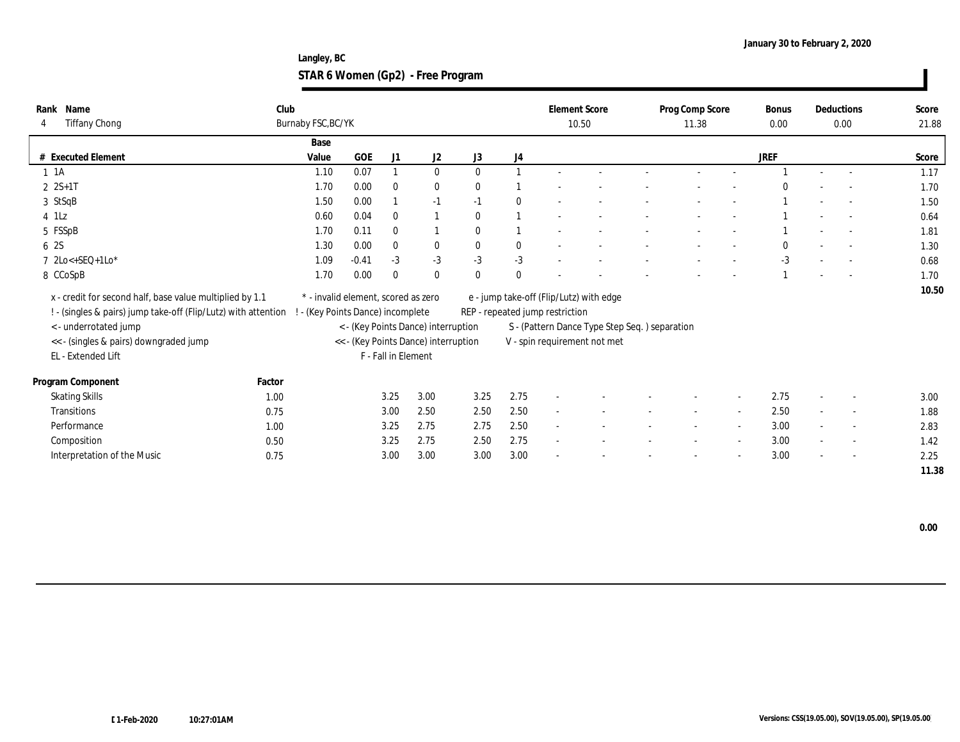**Langley, BC STAR 6 Women (Gp2) - Free Program**

| 4 | Rank Name<br><b>Tiffany Chong</b>                                                                                          | Club<br>Burnaby FSC, BC/YK |                                                                        |                     |                                      |              |              |                                 | <b>Element Score</b><br>10.50                 | Prog Comp Score<br>11.38 |        | <b>Bonus</b><br>0.00 |        | Deductions<br>0.00       | Score<br>21.88 |
|---|----------------------------------------------------------------------------------------------------------------------------|----------------------------|------------------------------------------------------------------------|---------------------|--------------------------------------|--------------|--------------|---------------------------------|-----------------------------------------------|--------------------------|--------|----------------------|--------|--------------------------|----------------|
|   |                                                                                                                            | Base                       |                                                                        |                     |                                      |              |              |                                 |                                               |                          |        |                      |        |                          |                |
|   | # Executed Element                                                                                                         | Value                      | <b>GOE</b>                                                             | J1                  | J2                                   | J3           | J4           |                                 |                                               |                          |        | JREF                 |        |                          | Score          |
|   | $1 \t1A$                                                                                                                   | 1.10                       | 0.07                                                                   |                     | $\bf{0}$                             | $\mathbf{0}$ |              |                                 |                                               |                          |        |                      |        |                          | 1.17           |
|   | $2 S+1 T$                                                                                                                  | 1.70                       | 0.00                                                                   | $\mathbf{0}$        | $\bf{0}$                             | $\theta$     |              |                                 |                                               |                          |        |                      |        | $\sim$                   | 1.70           |
|   | 3 StSqB                                                                                                                    | 1.50                       | 0.00                                                                   |                     | $-1$                                 | $-1$         | $\mathbf{0}$ |                                 |                                               |                          |        |                      |        |                          | 1.50           |
|   | $4$ 1Lz                                                                                                                    | 0.60                       | 0.04                                                                   | $\mathbf{0}$        |                                      | $\Omega$     |              |                                 |                                               |                          |        |                      |        |                          | 0.64           |
|   | 5 FSSpB                                                                                                                    | 1.70                       | 0.11                                                                   | $\mathbf{0}$        |                                      | $\mathbf{0}$ |              |                                 |                                               |                          |        |                      |        |                          | 1.81           |
|   | 6 2S                                                                                                                       | 1.30                       | 0.00                                                                   | $\mathbf{0}$        | $\bf{0}$                             | $\mathbf{0}$ | $\bf{0}$     |                                 |                                               |                          |        |                      |        |                          | 1.30           |
|   | 7 2Lo<+SEQ+1Lo*                                                                                                            | 1.09                       | $-0.41$                                                                | $-3$                | $-3$                                 | $-3$         | $-3$         |                                 |                                               |                          |        | $-3$                 |        |                          | 0.68           |
|   | 8 CCoSpB                                                                                                                   | 1.70                       | 0.00                                                                   | $\theta$            | $\bf{0}$                             | $\mathbf{0}$ | $\mathbf{0}$ |                                 |                                               |                          |        |                      |        |                          | 1.70           |
|   | x - credit for second half, base value multiplied by 1.1<br>! - (singles & pairs) jump take-off (Flip/Lutz) with attention |                            | * - invalid element, scored as zero<br>- (Key Points Dance) incomplete |                     |                                      |              |              | REP - repeated jump restriction | e - jump take-off (Flip/Lutz) with edge       |                          |        |                      |        |                          | 10.50          |
|   | <- underrotated jump                                                                                                       |                            |                                                                        |                     | < - (Key Points Dance) interruption  |              |              |                                 | S - (Pattern Dance Type Step Seq.) separation |                          |        |                      |        |                          |                |
|   | << - (singles & pairs) downgraded jump                                                                                     |                            |                                                                        |                     | << - (Key Points Dance) interruption |              |              |                                 | V - spin requirement not met                  |                          |        |                      |        |                          |                |
|   | EL - Extended Lift                                                                                                         |                            |                                                                        | F - Fall in Element |                                      |              |              |                                 |                                               |                          |        |                      |        |                          |                |
|   | Program Component                                                                                                          | Factor                     |                                                                        |                     |                                      |              |              |                                 |                                               |                          |        |                      |        |                          |                |
|   | <b>Skating Skills</b>                                                                                                      | 1.00                       |                                                                        | 3.25                | 3.00                                 | 3.25         | 2.75         |                                 |                                               |                          |        | 2.75                 | $\sim$ |                          | 3.00           |
|   | <b>Transitions</b>                                                                                                         | 0.75                       |                                                                        | 3.00                | 2.50                                 | 2.50         | 2.50         |                                 |                                               |                          |        | 2.50                 |        | $\overline{\phantom{a}}$ | 1.88           |
|   | Performance                                                                                                                | 1.00                       |                                                                        | 3.25                | 2.75                                 | 2.75         | 2.50         |                                 |                                               |                          |        | 3.00                 | $\sim$ |                          | 2.83           |
|   | Composition                                                                                                                | 0.50                       |                                                                        | 3.25                | 2.75                                 | 2.50         | 2.75         |                                 |                                               |                          | $\sim$ | 3.00                 | $\sim$ | $\sim$                   | 1.42           |
|   | Interpretation of the Music                                                                                                | 0.75                       |                                                                        | 3.00                | 3.00                                 | 3.00         | 3.00         |                                 |                                               |                          |        | 3.00                 | $\sim$ |                          | 2.25           |
|   |                                                                                                                            |                            |                                                                        |                     |                                      |              |              |                                 |                                               |                          |        |                      |        |                          | 11.38          |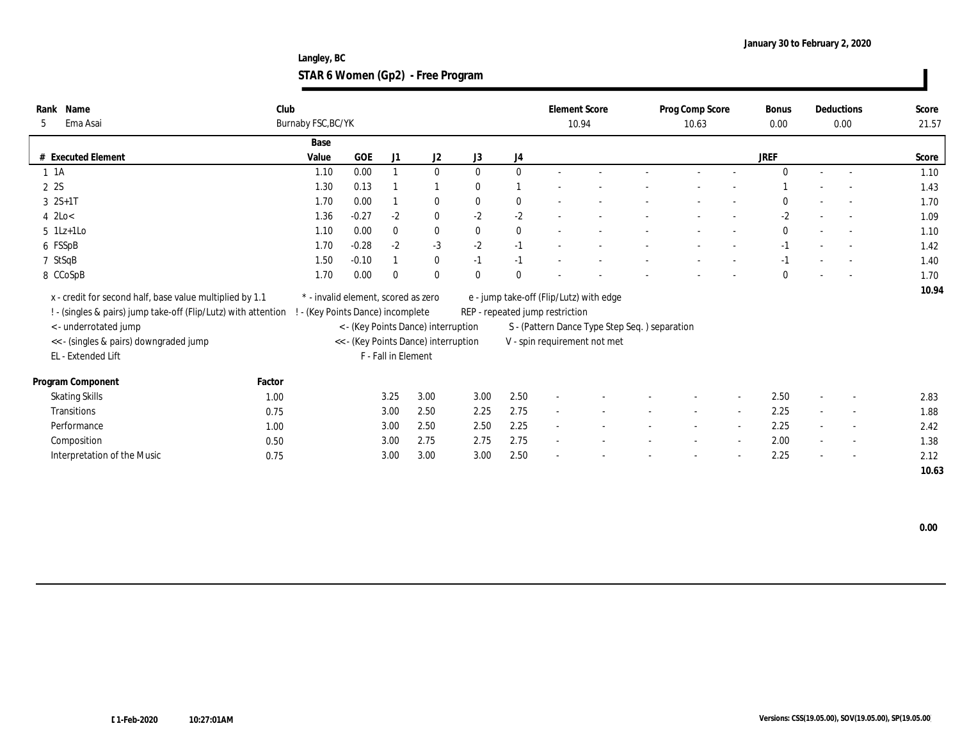**Langley, BC STAR 6 Women (Gp2) - Free Program**

| Rank Name<br>Ema Asai<br>5                                     | Club   | Burnaby FSC, BC/YK                  |         |                     |                                      |              |              |                                 | <b>Element Score</b><br>10.94                  | Prog Comp Score<br>10.63 | <b>Bonus</b><br>0.00 |                          | Deductions<br>0.00       | Score<br>21.57 |
|----------------------------------------------------------------|--------|-------------------------------------|---------|---------------------|--------------------------------------|--------------|--------------|---------------------------------|------------------------------------------------|--------------------------|----------------------|--------------------------|--------------------------|----------------|
|                                                                |        | Base                                |         |                     |                                      |              |              |                                 |                                                |                          |                      |                          |                          |                |
| # Executed Element                                             |        | Value                               | GOE     | J1                  | J2                                   | J3           | J4           |                                 |                                                |                          | JREF                 |                          |                          | Score          |
| $1 \t1A$                                                       |        | 1.10                                | 0.00    |                     | $\mathbf{0}$                         | $\mathbf{0}$ | $\bf{0}$     |                                 |                                                |                          | $\Omega$             |                          |                          | 1.10           |
| 2 2S                                                           |        | 1.30                                | 0.13    |                     |                                      | $\bf{0}$     |              |                                 |                                                |                          |                      |                          |                          | 1.43           |
| $3 \t2S+1T$                                                    |        | 1.70                                | 0.00    |                     | $\bf{0}$                             | $\mathbf{0}$ | $\bf{0}$     |                                 |                                                |                          |                      |                          |                          | 1.70           |
| $4$ 2Lo<                                                       |        | 1.36                                | $-0.27$ | $-2$                | $\mathbf{0}$                         | $-2$         | $-2$         |                                 |                                                |                          | $-2$                 |                          |                          | 1.09           |
| $5$ 1Lz+1Lo                                                    |        | 1.10                                | 0.00    | $\bf{0}$            | $\bf{0}$                             | $\bf{0}$     | $\bf{0}$     |                                 |                                                |                          | $\bf{0}$             | $\overline{\phantom{a}}$ |                          | 1.10           |
| 6 FSSpB                                                        |        | 1.70                                | $-0.28$ | $-2$                | $-3$                                 | $-2$         | $-1$         |                                 |                                                |                          | $-1$                 |                          |                          | 1.42           |
| 7 StSqB                                                        |        | 1.50                                | $-0.10$ |                     | $\bf{0}$                             | $-1$         | $-1$         |                                 |                                                |                          | $-1$                 | $\overline{\phantom{a}}$ |                          | 1.40           |
| 8 CCoSpB                                                       |        | 1.70                                | 0.00    | $\Omega$            | $\mathbf{0}$                         | $\mathbf{0}$ | $\mathbf{0}$ |                                 |                                                |                          | $\mathbf{0}$         |                          |                          | 1.70           |
| x - credit for second half, base value multiplied by 1.1       |        | * - invalid element, scored as zero |         |                     |                                      |              |              |                                 | e - jump take-off (Flip/Lutz) with edge        |                          |                      |                          |                          | 10.94          |
| ! - (singles & pairs) jump take-off (Flip/Lutz) with attention |        | - (Key Points Dance) incomplete     |         |                     |                                      |              |              | REP - repeated jump restriction |                                                |                          |                      |                          |                          |                |
| < - underrotated jump                                          |        |                                     |         |                     | < - (Key Points Dance) interruption  |              |              |                                 | S - (Pattern Dance Type Step Seq. ) separation |                          |                      |                          |                          |                |
| << - (singles & pairs) downgraded jump                         |        |                                     |         |                     | << - (Key Points Dance) interruption |              |              |                                 | V - spin requirement not met                   |                          |                      |                          |                          |                |
| EL - Extended Lift                                             |        |                                     |         | F - Fall in Element |                                      |              |              |                                 |                                                |                          |                      |                          |                          |                |
| Program Component                                              | Factor |                                     |         |                     |                                      |              |              |                                 |                                                |                          |                      |                          |                          |                |
| <b>Skating Skills</b>                                          | 1.00   |                                     |         | 3.25                | 3.00                                 | 3.00         | 2.50         | $\sim$                          |                                                |                          | 2.50                 | $\overline{\phantom{a}}$ |                          | 2.83           |
| Transitions                                                    | 0.75   |                                     |         | 3.00                | 2.50                                 | 2.25         | 2.75         | $\sim$                          |                                                |                          | 2.25                 | $\overline{a}$           | $\sim$                   | 1.88           |
| Performance                                                    | 1.00   |                                     |         | 3.00                | 2.50                                 | 2.50         | 2.25         | $\sim$                          |                                                |                          | 2.25                 | $\sim$                   |                          | 2.42           |
| Composition                                                    | 0.50   |                                     |         | 3.00                | 2.75                                 | 2.75         | 2.75         | $\sim$                          |                                                |                          | 2.00                 | $\sim$                   | $\overline{\phantom{a}}$ | 1.38           |
| Interpretation of the Music                                    | 0.75   |                                     |         | 3.00                | 3.00                                 | 3.00         | 2.50         |                                 |                                                |                          | 2.25                 | $\sim$                   | $\overline{\phantom{a}}$ | 2.12           |
|                                                                |        |                                     |         |                     |                                      |              |              |                                 |                                                |                          |                      |                          |                          | 10.63          |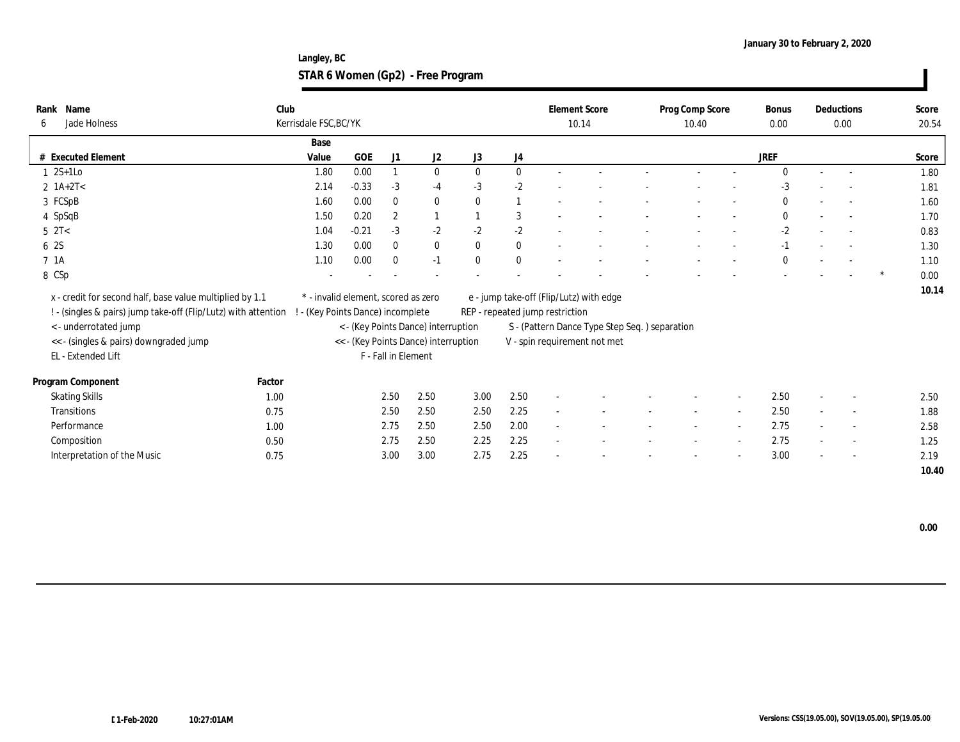**Langley, BC STAR 6 Women (Gp2) - Free Program**

| Name<br>Rank<br>Jade Holness<br>6                                                                                          | Club   | Kerrisdale FSC, BC/YK                                                  |         |                     |                                      |              |                |                                 | <b>Element Score</b><br>10.14                 | Prog Comp Score<br>10.40 |        | <b>Bonus</b><br>0.00 |                          | Deductions<br>0.00       | Score<br>20.54 |
|----------------------------------------------------------------------------------------------------------------------------|--------|------------------------------------------------------------------------|---------|---------------------|--------------------------------------|--------------|----------------|---------------------------------|-----------------------------------------------|--------------------------|--------|----------------------|--------------------------|--------------------------|----------------|
|                                                                                                                            |        | Base                                                                   |         |                     |                                      |              |                |                                 |                                               |                          |        |                      |                          |                          |                |
| # Executed Element                                                                                                         |        | Value                                                                  | GOE     | J1                  | J2                                   | J3           | J4             |                                 |                                               |                          |        | <b>JREF</b>          |                          |                          | Score          |
| 1 2S+1Lo                                                                                                                   |        | 1.80                                                                   | 0.00    |                     | $\bf{0}$                             | $\mathbf{0}$ | $\mathbf{0}$   |                                 |                                               |                          |        | $\Omega$             | $\sim$                   |                          | 1.80           |
| $2 \text{ 1A+2T}$                                                                                                          |        | 2.14                                                                   | $-0.33$ | $-3$                | $-4$                                 | $-3$         | $-2$           |                                 |                                               |                          |        | $-3$                 |                          |                          | 1.81           |
| 3 FCSpB                                                                                                                    |        | 1.60                                                                   | 0.00    | $\mathbf{0}$        | $\bf{0}$                             | $\mathbf{0}$ | $\overline{1}$ |                                 |                                               |                          |        | $\mathbf{0}$         |                          |                          | 1.60           |
| 4 SpSqB                                                                                                                    |        | 1.50                                                                   | 0.20    | $\mathbf{2}$        | 1                                    |              | 3              |                                 |                                               |                          |        | $\bf{0}$             |                          | $\sim$                   | 1.70           |
| $5 \text{ } 2T <$                                                                                                          |        | 1.04                                                                   | $-0.21$ | $-3$                | $-2$                                 | $-2$         | $-2$           |                                 |                                               |                          |        | $-2$                 |                          |                          | 0.83           |
| 6 2S                                                                                                                       |        | 1.30                                                                   | 0.00    | $\mathbf{0}$        | $\bf{0}$                             | $\mathbf{0}$ | $\bf{0}$       |                                 |                                               |                          |        | $-1$                 |                          |                          | 1.30           |
| 7 1A                                                                                                                       |        | 1.10                                                                   | 0.00    | $\mathbf{0}$        | $-1$                                 | $\mathbf{0}$ | $\bf{0}$       |                                 |                                               |                          |        | $\bf{0}$             | $\overline{\phantom{a}}$ |                          | 1.10           |
| 8 CSp                                                                                                                      |        |                                                                        |         |                     |                                      |              |                |                                 |                                               |                          |        |                      |                          |                          | 0.00           |
| x - credit for second half, base value multiplied by 1.1<br>! - (singles & pairs) jump take-off (Flip/Lutz) with attention |        | * - invalid element, scored as zero<br>- (Key Points Dance) incomplete |         |                     |                                      |              |                | REP - repeated jump restriction | e - jump take-off (Flip/Lutz) with edge       |                          |        |                      |                          |                          | 10.14          |
| <- underrotated jump                                                                                                       |        |                                                                        |         |                     | < - (Key Points Dance) interruption  |              |                |                                 | S - (Pattern Dance Type Step Seq.) separation |                          |        |                      |                          |                          |                |
| << - (singles & pairs) downgraded jump                                                                                     |        |                                                                        |         |                     | << - (Key Points Dance) interruption |              |                |                                 | V - spin requirement not met                  |                          |        |                      |                          |                          |                |
| EL - Extended Lift                                                                                                         |        |                                                                        |         | F - Fall in Element |                                      |              |                |                                 |                                               |                          |        |                      |                          |                          |                |
| Program Component                                                                                                          | Factor |                                                                        |         |                     |                                      |              |                |                                 |                                               |                          |        |                      |                          |                          |                |
| <b>Skating Skills</b>                                                                                                      | 1.00   |                                                                        |         | 2.50                | 2.50                                 | 3.00         | 2.50           | $\overline{a}$                  |                                               |                          |        | 2.50                 | $\sim$                   |                          | 2.50           |
| <b>Transitions</b>                                                                                                         | 0.75   |                                                                        |         | 2.50                | 2.50                                 | 2.50         | 2.25           | $\sim$                          |                                               | $\sim$                   | $\sim$ | 2.50                 | $\sim$                   | $\sim$                   | 1.88           |
| Performance                                                                                                                | 1.00   |                                                                        |         | 2.75                | 2.50                                 | 2.50         | 2.00           | $\sim$                          |                                               |                          |        | 2.75                 | $\sim$                   | $\overline{\phantom{a}}$ | 2.58           |
| Composition                                                                                                                | 0.50   |                                                                        |         | 2.75                | 2.50                                 | 2.25         | 2.25           | $\sim$                          |                                               |                          |        | 2.75                 | $\sim$                   | $\sim$                   | 1.25           |
| Interpretation of the Music                                                                                                | 0.75   |                                                                        |         | 3.00                | 3.00                                 | 2.75         | 2.25           |                                 |                                               |                          |        | 3.00                 | $\sim$                   | $\overline{\phantom{a}}$ | 2.19           |
|                                                                                                                            |        |                                                                        |         |                     |                                      |              |                |                                 |                                               |                          |        |                      |                          |                          | 10.40          |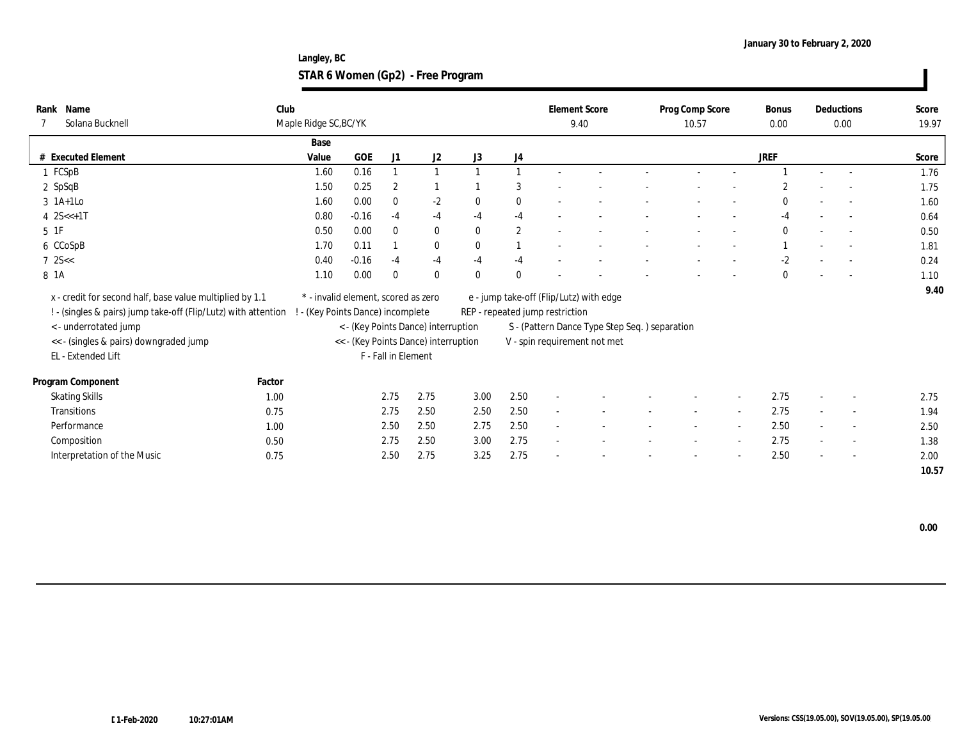**Langley, BC STAR 6 Women (Gp2) - Free Program**

| Rank Name<br>Solana Bucknell                                                                                               | Club   | Maple Ridge SC, BC/YK                                                    |            |                     |                                      |              |              |                                 | <b>Element Score</b><br>9.40                  | Prog Comp Score<br>10.57 |                          | <b>Bonus</b><br>0.00 |                          | Deductions<br>0.00       | Score<br>19.97 |
|----------------------------------------------------------------------------------------------------------------------------|--------|--------------------------------------------------------------------------|------------|---------------------|--------------------------------------|--------------|--------------|---------------------------------|-----------------------------------------------|--------------------------|--------------------------|----------------------|--------------------------|--------------------------|----------------|
|                                                                                                                            |        | Base                                                                     |            |                     |                                      |              |              |                                 |                                               |                          |                          |                      |                          |                          |                |
| # Executed Element                                                                                                         |        | Value                                                                    | <b>GOE</b> | J1                  | J2                                   | J3           | J4           |                                 |                                               |                          |                          | <b>JREF</b>          |                          |                          | Score          |
| 1 FCSpB                                                                                                                    |        | 1.60                                                                     | 0.16       |                     |                                      |              |              |                                 |                                               |                          |                          |                      |                          |                          | 1.76           |
| $2$ SpSqB                                                                                                                  |        | 1.50                                                                     | 0.25       | $\overline{2}$      |                                      |              | 3            |                                 |                                               |                          |                          |                      |                          |                          | 1.75           |
| $3$ 1A+1Lo                                                                                                                 |        | 1.60                                                                     | 0.00       | $\mathbf{0}$        | $-2$                                 | $\mathbf{0}$ | $\mathbf{0}$ |                                 |                                               |                          |                          | $\mathbf{0}$         |                          |                          | 1.60           |
| 4 $2S < +1T$                                                                                                               |        | 0.80                                                                     | $-0.16$    | $-4$                | $-4$                                 | $-4$         | $-4$         |                                 |                                               |                          |                          | $-4$                 |                          |                          | 0.64           |
| $5\quad1\mathrm{F}$                                                                                                        |        | 0.50                                                                     | 0.00       | $\theta$            | $\bf{0}$                             | $\mathbf{0}$ | $\mathbf{2}$ |                                 |                                               |                          |                          | $\mathbf{0}$         |                          |                          | 0.50           |
| 6 CCoSpB                                                                                                                   |        | 1.70                                                                     | 0.11       |                     | $\bf{0}$                             | $\mathbf{0}$ |              |                                 |                                               |                          |                          |                      |                          |                          | 1.81           |
| $7 \, 25 <$                                                                                                                |        | 0.40                                                                     | $-0.16$    | $-4$                | $-4$                                 | $-4$         | $-4$         |                                 |                                               |                          | $\overline{\phantom{a}}$ | $-2$                 | $\overline{\phantom{a}}$ |                          | 0.24           |
| 8 1A                                                                                                                       |        | 1.10                                                                     | 0.00       |                     | $\bf{0}$                             | $\theta$     | $\theta$     |                                 |                                               |                          |                          | $\mathbf{0}$         |                          |                          | 1.10           |
| x - credit for second half, base value multiplied by 1.1<br>! - (singles & pairs) jump take-off (Flip/Lutz) with attention |        | * - invalid element, scored as zero<br>! - (Key Points Dance) incomplete |            |                     |                                      |              |              | REP - repeated jump restriction | e - jump take-off (Flip/Lutz) with edge       |                          |                          |                      |                          |                          | 9.40           |
| < - underrotated jump                                                                                                      |        |                                                                          |            |                     | < - (Key Points Dance) interruption  |              |              |                                 | S - (Pattern Dance Type Step Seq.) separation |                          |                          |                      |                          |                          |                |
| << - (singles & pairs) downgraded jump                                                                                     |        |                                                                          |            |                     | << - (Key Points Dance) interruption |              |              |                                 | V - spin requirement not met                  |                          |                          |                      |                          |                          |                |
| EL - Extended Lift                                                                                                         |        |                                                                          |            | F - Fall in Element |                                      |              |              |                                 |                                               |                          |                          |                      |                          |                          |                |
| Program Component                                                                                                          | Factor |                                                                          |            |                     |                                      |              |              |                                 |                                               |                          |                          |                      |                          |                          |                |
| <b>Skating Skills</b>                                                                                                      | 1.00   |                                                                          |            | 2.75                | 2.75                                 | 3.00         | 2.50         |                                 |                                               |                          |                          | 2.75                 | $\sim$                   |                          | 2.75           |
| Transitions                                                                                                                | 0.75   |                                                                          |            | 2.75                | 2.50                                 | 2.50         | 2.50         |                                 |                                               |                          |                          | 2.75                 | $\overline{a}$           | $\sim$                   | 1.94           |
| Performance                                                                                                                | 1.00   |                                                                          |            | 2.50                | 2.50                                 | 2.75         | 2.50         | $\sim$                          |                                               |                          |                          | 2.50                 | $\sim$                   |                          | 2.50           |
| Composition                                                                                                                | 0.50   |                                                                          |            | 2.75                | 2.50                                 | 3.00         | 2.75         |                                 |                                               |                          |                          | 2.75                 | $\sim$                   | $\overline{\phantom{a}}$ | 1.38           |
| Interpretation of the Music                                                                                                | 0.75   |                                                                          |            | 2.50                | 2.75                                 | 3.25         | 2.75         |                                 |                                               |                          |                          | 2.50                 | $\sim$                   |                          | 2.00           |
|                                                                                                                            |        |                                                                          |            |                     |                                      |              |              |                                 |                                               |                          |                          |                      |                          |                          | 10.57          |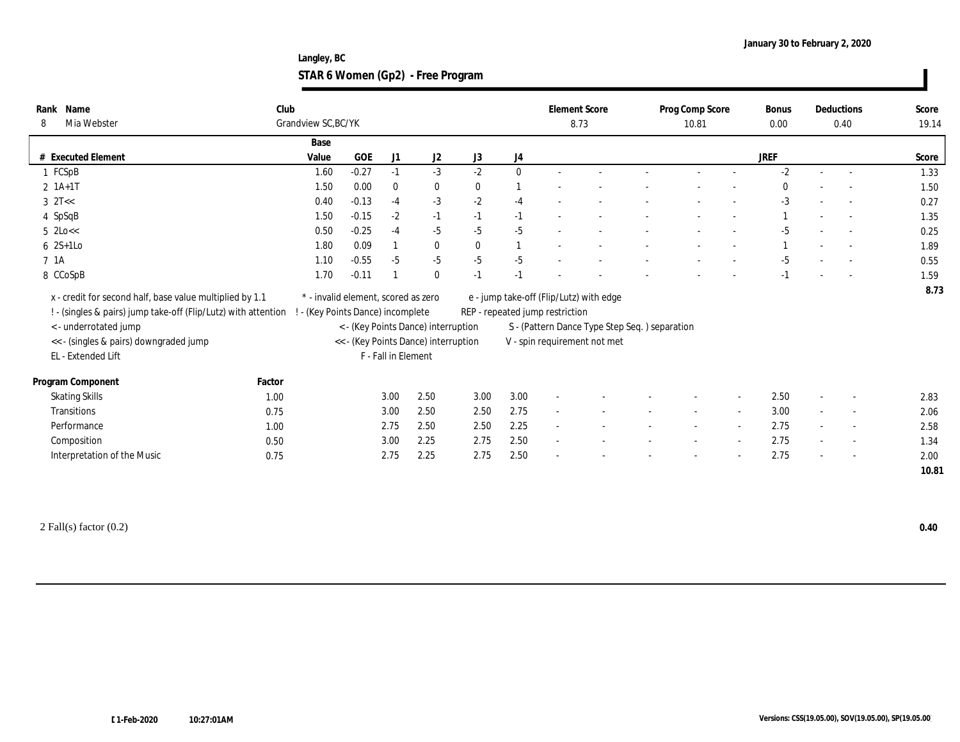**Langley, BC STAR 6 Women (Gp2) - Free Program**

| Rank Name<br>Mia Webster<br>8                                                                                                                                                                 | Club   | Grandview SC, BC/YK                                                    |         |                     |                                                                             |              |                                 | <b>Element Score</b><br>8.73 |                                                                                                                          |                          | Prog Comp Score<br>10.81 |        | Bonus<br>0.00 |                          | Deductions<br>0.40       | Score<br>19.14 |
|-----------------------------------------------------------------------------------------------------------------------------------------------------------------------------------------------|--------|------------------------------------------------------------------------|---------|---------------------|-----------------------------------------------------------------------------|--------------|---------------------------------|------------------------------|--------------------------------------------------------------------------------------------------------------------------|--------------------------|--------------------------|--------|---------------|--------------------------|--------------------------|----------------|
|                                                                                                                                                                                               |        | Base                                                                   |         |                     |                                                                             |              |                                 |                              |                                                                                                                          |                          |                          |        |               |                          |                          |                |
| # Executed Element                                                                                                                                                                            |        | Value                                                                  | GOE     | J1                  | J2                                                                          | J3           | J4                              |                              |                                                                                                                          |                          |                          |        | <b>JREF</b>   |                          |                          | Score          |
| 1 FCSpB                                                                                                                                                                                       |        | 1.60                                                                   | $-0.27$ | $-1$                | $-3$                                                                        | $-2$         | $\mathbf{0}$                    |                              |                                                                                                                          |                          |                          |        | $-2$          |                          | $\overline{\phantom{a}}$ | 1.33           |
| $2 \; 1A+1T$                                                                                                                                                                                  |        | 1.50                                                                   | 0.00    | $\mathbf{0}$        | $\bf{0}$                                                                    | $\mathbf{0}$ |                                 |                              |                                                                                                                          |                          |                          |        |               |                          |                          | 1.50           |
| $3$ $2T <$                                                                                                                                                                                    |        | 0.40                                                                   | $-0.13$ | $-4$                | $-3$                                                                        | $-2$         | $-4$                            |                              |                                                                                                                          |                          |                          |        | $-3$          |                          |                          | 0.27           |
| 4 SpSqB                                                                                                                                                                                       |        | 1.50                                                                   | $-0.15$ | $-2$                | $-1$                                                                        | $-1$         | $-1$                            |                              |                                                                                                                          |                          |                          |        |               |                          |                          | 1.35           |
| $5$ 2Lo $<<$                                                                                                                                                                                  |        | 0.50                                                                   | $-0.25$ | $-4$                | $-5$                                                                        | $-5$         | $-5$                            |                              |                                                                                                                          |                          |                          |        | $-5$          |                          |                          | 0.25           |
| $6 \quad 2S+1LO$                                                                                                                                                                              |        | 1.80                                                                   | 0.09    |                     | $\bf{0}$                                                                    | $\theta$     |                                 |                              |                                                                                                                          |                          |                          |        |               |                          |                          | 1.89           |
| 7 1A                                                                                                                                                                                          |        | 1.10                                                                   | $-0.55$ | $-5$                | $-5$                                                                        | $-5$         | $-5$                            |                              |                                                                                                                          |                          |                          |        | $-5$          |                          |                          | 0.55           |
| 8 CCoSpB                                                                                                                                                                                      |        | 1.70                                                                   | $-0.11$ |                     | $\bf{0}$                                                                    | $-1$         | $-1$                            |                              |                                                                                                                          |                          |                          |        |               |                          |                          | 1.59           |
| x - credit for second half, base value multiplied by 1.1<br>! - (singles & pairs) jump take-off (Flip/Lutz) with attention<br>< - underrotated jump<br><< - (singles & pairs) downgraded jump |        | * - invalid element, scored as zero<br>- (Key Points Dance) incomplete |         |                     | < - (Key Points Dance) interruption<br><< - (Key Points Dance) interruption |              | REP - repeated jump restriction |                              | e - jump take-off (Flip/Lutz) with edge<br>S - (Pattern Dance Type Step Seq.) separation<br>V - spin requirement not met |                          |                          |        |               |                          |                          | 8.73           |
| EL - Extended Lift                                                                                                                                                                            |        |                                                                        |         | F - Fall in Element |                                                                             |              |                                 |                              |                                                                                                                          |                          |                          |        |               |                          |                          |                |
| Program Component                                                                                                                                                                             | Factor |                                                                        |         |                     |                                                                             |              |                                 |                              |                                                                                                                          |                          |                          |        |               |                          |                          |                |
| <b>Skating Skills</b>                                                                                                                                                                         | 1.00   |                                                                        |         | 3.00                | 2.50                                                                        | 3.00         | 3.00                            |                              |                                                                                                                          |                          |                          |        | 2.50          |                          |                          | 2.83           |
| Transitions                                                                                                                                                                                   | 0.75   |                                                                        |         | 3.00                | 2.50                                                                        | 2.50         | 2.75                            |                              |                                                                                                                          |                          |                          |        | 3.00          | $\sim$                   |                          | 2.06           |
| Performance                                                                                                                                                                                   | 1.00   |                                                                        |         | 2.75                | 2.50                                                                        | 2.50         | 2.25                            |                              |                                                                                                                          | $\overline{\phantom{a}}$ |                          |        | 2.75          | $\sim$                   |                          | 2.58           |
| Composition                                                                                                                                                                                   | 0.50   |                                                                        |         | 3.00                | 2.25                                                                        | 2.75         | 2.50                            | $\sim$                       |                                                                                                                          | $\overline{\phantom{a}}$ |                          | $\sim$ | 2.75          | $\sim$                   |                          | 1.34           |
|                                                                                                                                                                                               |        |                                                                        |         | 2.75                | 2.25                                                                        | 2.75         | 2.50                            |                              |                                                                                                                          |                          |                          |        | 2.75          |                          |                          |                |
| Interpretation of the Music                                                                                                                                                                   | 0.75   |                                                                        |         |                     |                                                                             |              |                                 |                              |                                                                                                                          |                          |                          |        |               | $\overline{\phantom{a}}$ |                          | 2.00           |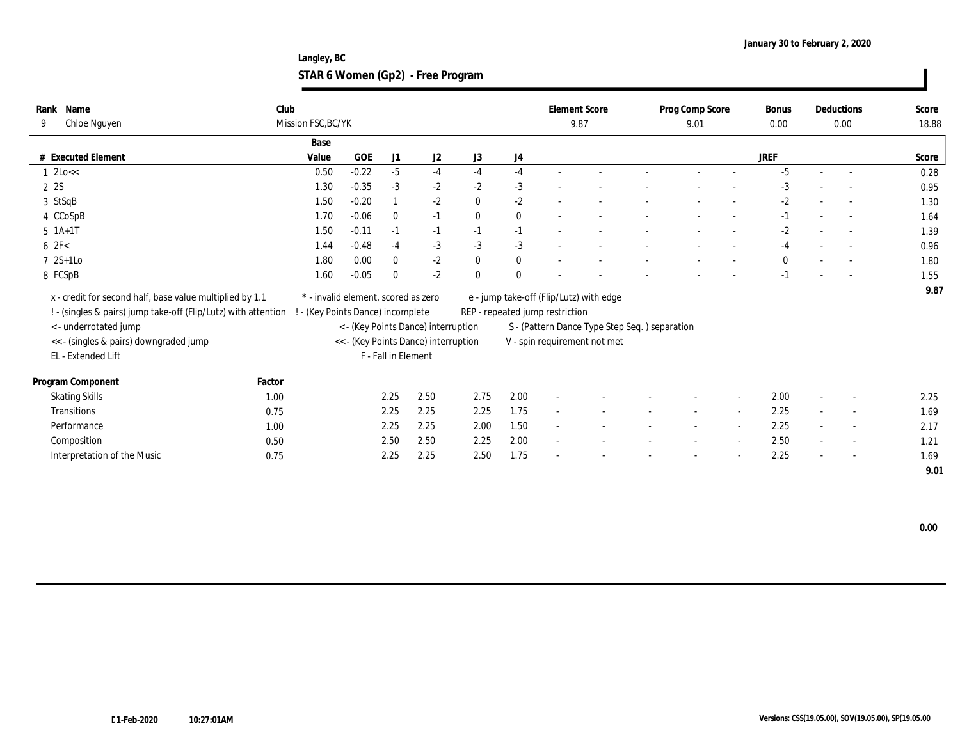**Langley, BC STAR 6 Women (Gp2) - Free Program**

| Name<br>Rank<br>Chloe Nguyen<br>9                              | Club   | Mission FSC, BC/YK                  |         |                     |                                      |              |              |                                 | <b>Element Score</b><br>9.87                   | Prog Comp Score<br>9.01 | <b>Bonus</b><br>0.00 |        | Deductions<br>0.00       | Score<br>18.88 |
|----------------------------------------------------------------|--------|-------------------------------------|---------|---------------------|--------------------------------------|--------------|--------------|---------------------------------|------------------------------------------------|-------------------------|----------------------|--------|--------------------------|----------------|
|                                                                |        | Base                                |         |                     |                                      |              |              |                                 |                                                |                         |                      |        |                          |                |
| # Executed Element                                             |        | Value                               | GOE     | J1                  | J2                                   | J3           | J4           |                                 |                                                |                         | <b>JREF</b>          |        |                          | Score          |
| $1$ 2Lo $<<$                                                   |        | 0.50                                | $-0.22$ | $-5$                | $-4$                                 | $-4$         | $-4$         |                                 |                                                |                         | $-5$                 |        |                          | 0.28           |
| 2 2S                                                           |        | 1.30                                | $-0.35$ | $-3$                | $-2$                                 | $-2$         | $-3$         |                                 |                                                |                         | $-3$                 |        |                          | 0.95           |
| 3 StSqB                                                        |        | 1.50                                | $-0.20$ |                     | $-2$                                 | $\mathbf{0}$ | $-2$         |                                 |                                                |                         | $-2$                 |        | $\sim$                   | 1.30           |
| 4 CCoSpB                                                       |        | 1.70                                | $-0.06$ | $\bf{0}$            | $-1$                                 | $\mathbf{0}$ | $\mathbf{0}$ |                                 |                                                |                         | $-1$                 |        |                          | 1.64           |
| $5$ 1A+1T                                                      |        | 1.50                                | $-0.11$ | $-1$                | $-1$                                 | $-1$         | $-1$         |                                 |                                                |                         | $-2$                 |        |                          | 1.39           |
| 62F<                                                           |        | 1.44                                | $-0.48$ | $-4$                | $-3$                                 | $-3$         | $-3$         |                                 |                                                |                         | $-4$                 |        |                          | 0.96           |
| $7 \text{ } 2S+1LO$                                            |        | 1.80                                | 0.00    | $\mathbf{0}$        | $-2$                                 | $\bf{0}$     | $\mathbf{0}$ |                                 |                                                |                         | $\bf{0}$             | $\sim$ |                          | 1.80           |
| 8 FCSpB                                                        |        | 1.60                                | $-0.05$ | $\bf{0}$            | $-2$                                 | $\mathbf{0}$ | $\mathbf{0}$ |                                 |                                                |                         | $-1$                 |        |                          | 1.55           |
| x - credit for second half, base value multiplied by 1.1       |        | * - invalid element, scored as zero |         |                     |                                      |              |              |                                 | e - jump take-off (Flip/Lutz) with edge        |                         |                      |        |                          | 9.87           |
| ! - (singles & pairs) jump take-off (Flip/Lutz) with attention |        | ! - (Key Points Dance) incomplete   |         |                     |                                      |              |              | REP - repeated jump restriction |                                                |                         |                      |        |                          |                |
| < - underrotated jump                                          |        |                                     |         |                     | < - (Key Points Dance) interruption  |              |              |                                 | S - (Pattern Dance Type Step Seq. ) separation |                         |                      |        |                          |                |
| << - (singles & pairs) downgraded jump                         |        |                                     |         |                     | << - (Key Points Dance) interruption |              |              |                                 | V - spin requirement not met                   |                         |                      |        |                          |                |
| EL - Extended Lift                                             |        |                                     |         | F - Fall in Element |                                      |              |              |                                 |                                                |                         |                      |        |                          |                |
| Program Component                                              | Factor |                                     |         |                     |                                      |              |              |                                 |                                                |                         |                      |        |                          |                |
| <b>Skating Skills</b>                                          | 1.00   |                                     |         | 2.25                | 2.50                                 | 2.75         | 2.00         | $\sim$                          |                                                |                         | 2.00                 | $\sim$ | $\sim$                   | 2.25           |
| Transitions                                                    | 0.75   |                                     |         | 2.25                | 2.25                                 | 2.25         | 1.75         | ÷,                              |                                                | $\sim$                  | 2.25                 | $\sim$ | $\overline{\phantom{a}}$ | 1.69           |
| Performance                                                    | 1.00   |                                     |         | 2.25                | 2.25                                 | 2.00         | 1.50         | $\sim$                          |                                                |                         | 2.25                 | $\sim$ | $\overline{\phantom{a}}$ | 2.17           |
| Composition                                                    | 0.50   |                                     |         | 2.50                | 2.50                                 | 2.25         | 2.00         | $\sim$                          |                                                |                         | 2.50                 | $\sim$ | $\overline{\phantom{a}}$ | 1.21           |
| Interpretation of the Music                                    | 0.75   |                                     |         | 2.25                | 2.25                                 | 2.50         | 1.75         |                                 |                                                |                         | 2.25                 | $\sim$ | $\sim$                   | 1.69           |
|                                                                |        |                                     |         |                     |                                      |              |              |                                 |                                                |                         |                      |        |                          | 9.01           |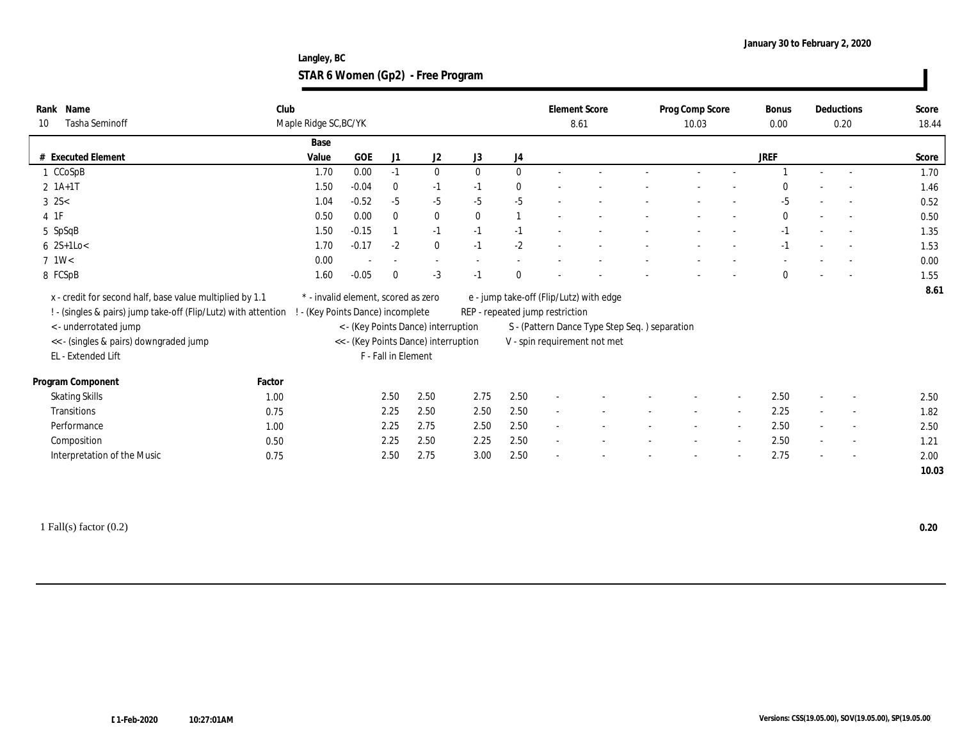**Langley, BC STAR 6 Women (Gp2) - Free Program**

| Name<br>Rank<br><b>Tasha Seminoff</b><br>10                                                                                                                                                                        | Club   | Maple Ridge SC, BC/YK                                                    |            |                     |                                                                             |              |                                 | <b>Element Score</b><br>8.61 |                                                                                                                          | Prog Comp Score<br>10.03 | <b>Bonus</b><br>0.00 |                          | Deductions<br>0.20       | Score<br>18.44 |
|--------------------------------------------------------------------------------------------------------------------------------------------------------------------------------------------------------------------|--------|--------------------------------------------------------------------------|------------|---------------------|-----------------------------------------------------------------------------|--------------|---------------------------------|------------------------------|--------------------------------------------------------------------------------------------------------------------------|--------------------------|----------------------|--------------------------|--------------------------|----------------|
|                                                                                                                                                                                                                    |        | Base                                                                     |            |                     |                                                                             |              |                                 |                              |                                                                                                                          |                          |                      |                          |                          |                |
| # Executed Element                                                                                                                                                                                                 |        | Value                                                                    | <b>GOE</b> | J1                  | J2                                                                          | J3           | J4                              |                              |                                                                                                                          |                          | <b>JREF</b>          |                          |                          | Score          |
| 1 CCoSpB                                                                                                                                                                                                           |        | 1.70                                                                     | 0.00       | $-1$                | $\mathbf{0}$                                                                | $\mathbf{0}$ | $\mathbf{0}$                    |                              |                                                                                                                          |                          |                      |                          |                          | 1.70           |
| $2 \; 1A+1T$                                                                                                                                                                                                       |        | 1.50                                                                     | $-0.04$    | $\mathbf{0}$        | $-1$                                                                        | $-1$         | $\bf{0}$                        |                              |                                                                                                                          |                          |                      |                          |                          | 1.46           |
| $3 \, 2S <$                                                                                                                                                                                                        |        | 1.04                                                                     | $-0.52$    | $-5$                | $-5$                                                                        | $-5$         | $-5$                            |                              |                                                                                                                          |                          | $-5$                 |                          |                          | 0.52           |
| $4$ 1F                                                                                                                                                                                                             |        | 0.50                                                                     | 0.00       | $\theta$            | $\bf{0}$                                                                    | $\mathbf{0}$ | $\mathbf{1}$                    | $\sim$                       |                                                                                                                          |                          | $\mathbf{0}$         | $\overline{\phantom{a}}$ |                          | 0.50           |
| 5 SpSqB                                                                                                                                                                                                            |        | 1.50                                                                     | $-0.15$    |                     | $-1$                                                                        | $-1$         | $-1$                            |                              |                                                                                                                          |                          | $-1$                 | $\overline{\phantom{a}}$ |                          | 1.35           |
| $6 \quad 2S+1Lo <$                                                                                                                                                                                                 |        | 1.70                                                                     | $-0.17$    | $-2$                | $\bf{0}$                                                                    | $-1$         | $-2$                            |                              |                                                                                                                          |                          | -1                   |                          |                          | 1.53           |
| $7 \frac{\text{1W}}{}$                                                                                                                                                                                             |        | 0.00                                                                     |            |                     | $\sim$                                                                      |              |                                 |                              |                                                                                                                          |                          |                      |                          |                          | 0.00           |
| 8 FCSpB                                                                                                                                                                                                            |        | 1.60                                                                     | $-0.05$    | $\Omega$            | $-3$                                                                        | $-1$         | $\mathbf{0}$                    |                              |                                                                                                                          |                          | $\mathbf{0}$         |                          |                          | 1.55           |
| x - credit for second half, base value multiplied by 1.1<br>! - (singles & pairs) jump take-off (Flip/Lutz) with attention<br><- underrotated jump<br><< - (singles & pairs) downgraded jump<br>EL - Extended Lift |        | * - invalid element, scored as zero<br>! - (Key Points Dance) incomplete |            | F - Fall in Element | < - (Key Points Dance) interruption<br><< - (Key Points Dance) interruption |              | REP - repeated jump restriction |                              | e - jump take-off (Flip/Lutz) with edge<br>S - (Pattern Dance Type Step Seq.) separation<br>V - spin requirement not met |                          |                      |                          |                          | 8.61           |
| Program Component                                                                                                                                                                                                  | Factor |                                                                          |            |                     |                                                                             |              |                                 |                              |                                                                                                                          |                          |                      |                          |                          |                |
| <b>Skating Skills</b>                                                                                                                                                                                              | 1.00   |                                                                          |            | 2.50                | 2.50                                                                        | 2.75         | 2.50                            |                              |                                                                                                                          |                          | 2.50                 | $\sim$                   | $\sim$                   | 2.50           |
| Transitions                                                                                                                                                                                                        | 0.75   |                                                                          |            | 2.25                | 2.50                                                                        | 2.50         | 2.50                            | $\sim$                       |                                                                                                                          |                          | 2.25                 | $\sim$                   | $\overline{\phantom{a}}$ | 1.82           |
| Performance                                                                                                                                                                                                        | 1.00   |                                                                          |            | 2.25                | 2.75                                                                        | 2.50         | 2.50                            | $\sim$                       |                                                                                                                          |                          | 2.50                 | $\sim$                   |                          | 2.50           |
| Composition                                                                                                                                                                                                        | 0.50   |                                                                          |            | 2.25                | 2.50                                                                        | 2.25         | 2.50                            | $\sim$                       |                                                                                                                          |                          | 2.50                 | $\sim$                   |                          | 1.21           |
| Interpretation of the Music                                                                                                                                                                                        | 0.75   |                                                                          |            | 2.50                | 2.75                                                                        | 3.00         | 2.50                            |                              |                                                                                                                          |                          | 2.75                 |                          |                          | 2.00           |
|                                                                                                                                                                                                                    |        |                                                                          |            |                     |                                                                             |              |                                 |                              |                                                                                                                          |                          |                      |                          |                          |                |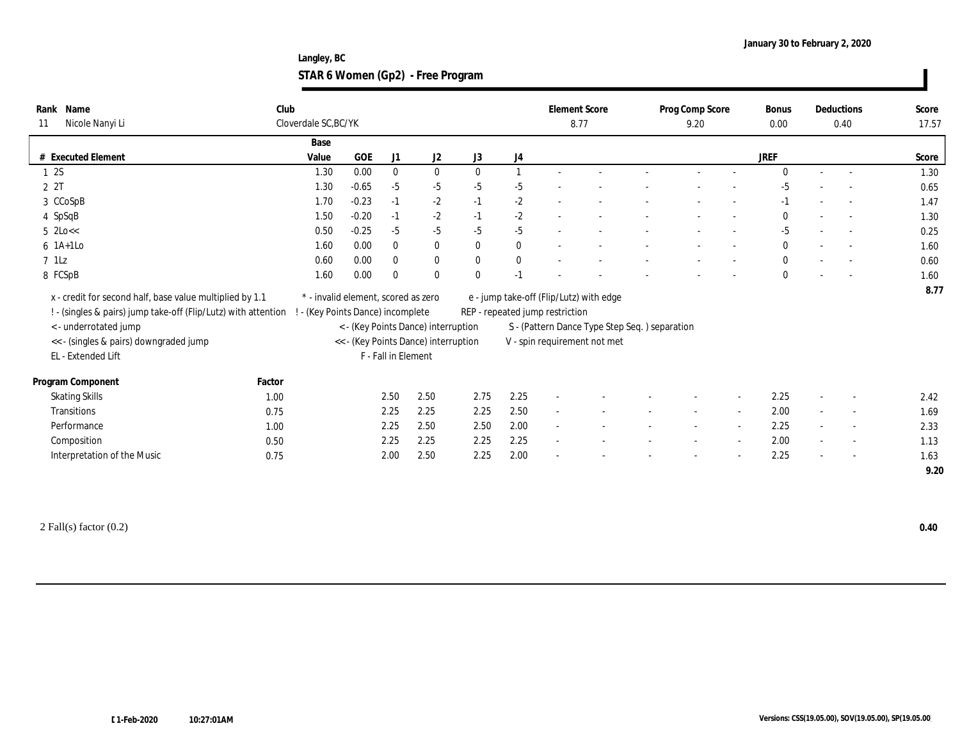**Langley, BC STAR 6 Women (Gp2) - Free Program**

| Rank Name<br>Nicole Nanyi Li<br>11                                                                                                                                                                                 | Club   | Cloverdale SC, BC/YK                                                   |         |                     |                                                                             |              |              | <b>Element Score</b><br>8.77    |                                                                                                                          | Prog Comp Score<br>9.20 |                          | <b>Bonus</b><br>0.00 |                          | Deductions<br>0.40 | Score<br>17.57 |
|--------------------------------------------------------------------------------------------------------------------------------------------------------------------------------------------------------------------|--------|------------------------------------------------------------------------|---------|---------------------|-----------------------------------------------------------------------------|--------------|--------------|---------------------------------|--------------------------------------------------------------------------------------------------------------------------|-------------------------|--------------------------|----------------------|--------------------------|--------------------|----------------|
|                                                                                                                                                                                                                    |        | Base                                                                   |         |                     |                                                                             |              |              |                                 |                                                                                                                          |                         |                          |                      |                          |                    |                |
| # Executed Element                                                                                                                                                                                                 |        | Value                                                                  | GOE     | J1                  | J <sub>2</sub>                                                              | J3           | J4           |                                 |                                                                                                                          |                         |                          | <b>JREF</b>          |                          |                    | Score          |
| 12S                                                                                                                                                                                                                |        | 1.30                                                                   | 0.00    | $\mathbf{0}$        | $\bf{0}$                                                                    | $\theta$     |              |                                 |                                                                                                                          |                         |                          |                      |                          |                    | 1.30           |
| 2 2T                                                                                                                                                                                                               |        | 1.30                                                                   | $-0.65$ | $-5$                | $-5$                                                                        | $-5$         | $-5$         |                                 |                                                                                                                          |                         |                          | $-5$                 |                          |                    | 0.65           |
| 3 CCoSpB                                                                                                                                                                                                           |        | 1.70                                                                   | $-0.23$ | $-1$                | $-2$                                                                        | $-1$         | $-2$         |                                 |                                                                                                                          |                         |                          | $-1$                 | $\overline{\phantom{a}}$ |                    | 1.47           |
| 4 SpSqB                                                                                                                                                                                                            |        | 1.50                                                                   | $-0.20$ | $-1$                | $-2$                                                                        | $-1$         | $-2$         | $\sim$                          |                                                                                                                          |                         |                          | $\mathbf{0}$         | $\sim$                   |                    | 1.30           |
| $5$ 2Lo $<<$                                                                                                                                                                                                       |        | 0.50                                                                   | $-0.25$ | $-5$                | $-5$                                                                        | $-5$         | $-5$         |                                 |                                                                                                                          |                         |                          | $-5$                 | $\overline{\phantom{a}}$ |                    | 0.25           |
| $6$ 1A+1Lo                                                                                                                                                                                                         |        | 1.60                                                                   | 0.00    | $\mathbf{0}$        | $\bf{0}$                                                                    | $\theta$     | $\bf{0}$     |                                 |                                                                                                                          |                         | $\overline{\phantom{a}}$ | $\mathbf{0}$         | $\sim$                   |                    | 1.60           |
| $7$ 1Lz                                                                                                                                                                                                            |        | 0.60                                                                   | 0.00    | $\bf{0}$            | $\bf{0}$                                                                    | $\mathbf{0}$ | $\mathbf{0}$ |                                 |                                                                                                                          |                         |                          | $\mathbf{0}$         |                          | $\sim$             | 0.60           |
| 8 FCSpB                                                                                                                                                                                                            |        | 1.60                                                                   | 0.00    | $\theta$            | $\mathbf{0}$                                                                | $\bf{0}$     | $-1$         |                                 |                                                                                                                          |                         |                          |                      |                          |                    | 1.60           |
| x - credit for second half, base value multiplied by 1.1<br>! - (singles & pairs) jump take-off (Flip/Lutz) with attention<br><- underrotated jump<br><< - (singles & pairs) downgraded jump<br>EL - Extended Lift |        | * - invalid element, scored as zero<br>- (Key Points Dance) incomplete |         | F - Fall in Element | < - (Key Points Dance) interruption<br><< - (Key Points Dance) interruption |              |              | REP - repeated jump restriction | e - jump take-off (Flip/Lutz) with edge<br>S - (Pattern Dance Type Step Seq.) separation<br>V - spin requirement not met |                         |                          |                      |                          |                    | 8.77           |
| Program Component                                                                                                                                                                                                  | Factor |                                                                        |         |                     |                                                                             |              |              |                                 |                                                                                                                          |                         |                          |                      |                          |                    |                |
| <b>Skating Skills</b>                                                                                                                                                                                              | 1.00   |                                                                        |         | 2.50                | 2.50                                                                        | 2.75         | 2.25         |                                 |                                                                                                                          |                         |                          | 2.25                 | $\sim$                   |                    | 2.42           |
| <b>Transitions</b>                                                                                                                                                                                                 | 0.75   |                                                                        |         | 2.25                | 2.25                                                                        | 2.25         | 2.50         | $\sim$                          |                                                                                                                          |                         | $\sim$                   | 2.00                 | $\sim$                   | $\sim$             | 1.69           |
| Performance                                                                                                                                                                                                        | 1.00   |                                                                        |         | 2.25                | 2.50                                                                        | 2.50         | 2.00         |                                 |                                                                                                                          |                         |                          | 2.25                 |                          |                    | 2.33           |
| Composition                                                                                                                                                                                                        | 0.50   |                                                                        |         | 2.25                | 2.25                                                                        | 2.25         | 2.25         |                                 |                                                                                                                          |                         |                          | 2.00                 | $\sim$                   |                    | 1.13           |
| Interpretation of the Music                                                                                                                                                                                        | 0.75   |                                                                        |         | 2.00                | 2.50                                                                        | 2.25         | 2.00         |                                 |                                                                                                                          |                         |                          | 2.25                 |                          |                    | 1.63           |
|                                                                                                                                                                                                                    |        |                                                                        |         |                     |                                                                             |              |              |                                 |                                                                                                                          |                         |                          |                      |                          |                    | 9.20           |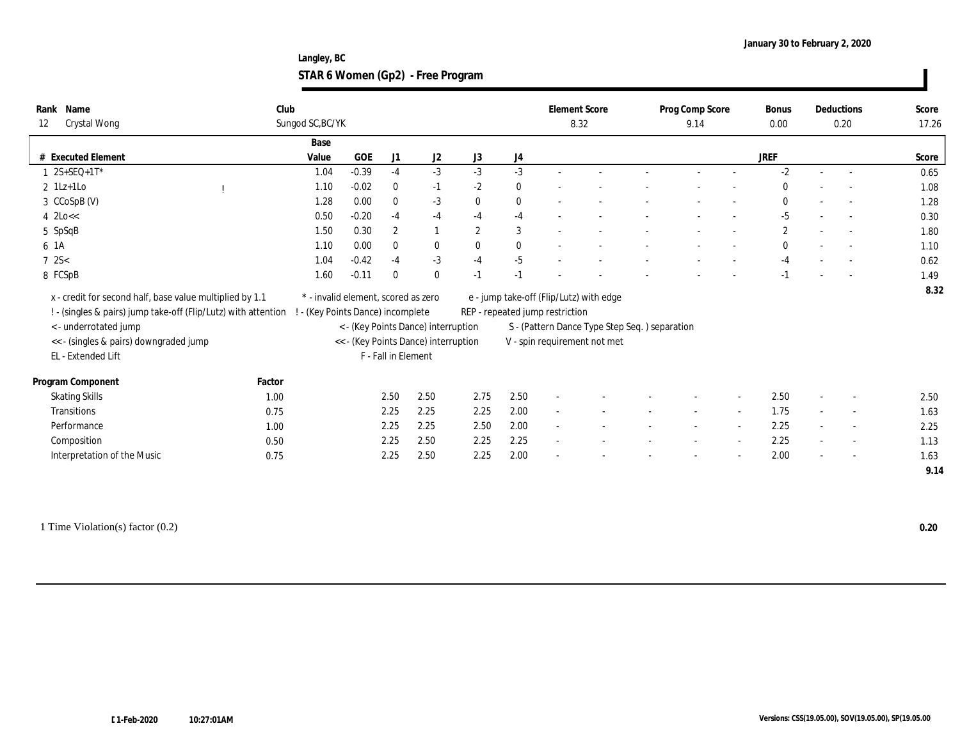**Langley, BC STAR 6 Women (Gp2) - Free Program**

| Score<br>0.65<br>1.08<br>1.28<br>0.30<br>1.80 |
|-----------------------------------------------|
|                                               |
|                                               |
|                                               |
|                                               |
|                                               |
|                                               |
|                                               |
| 1.10                                          |
| 0.62                                          |
| 1.49                                          |
| 8.32                                          |
|                                               |
|                                               |
|                                               |
|                                               |
|                                               |
|                                               |
| 2.50                                          |
| 1.63                                          |
| 2.25                                          |
| 1.13                                          |
| 1.63                                          |
|                                               |
|                                               |

1 Time Violation(s) factor (0.2) **0.20**